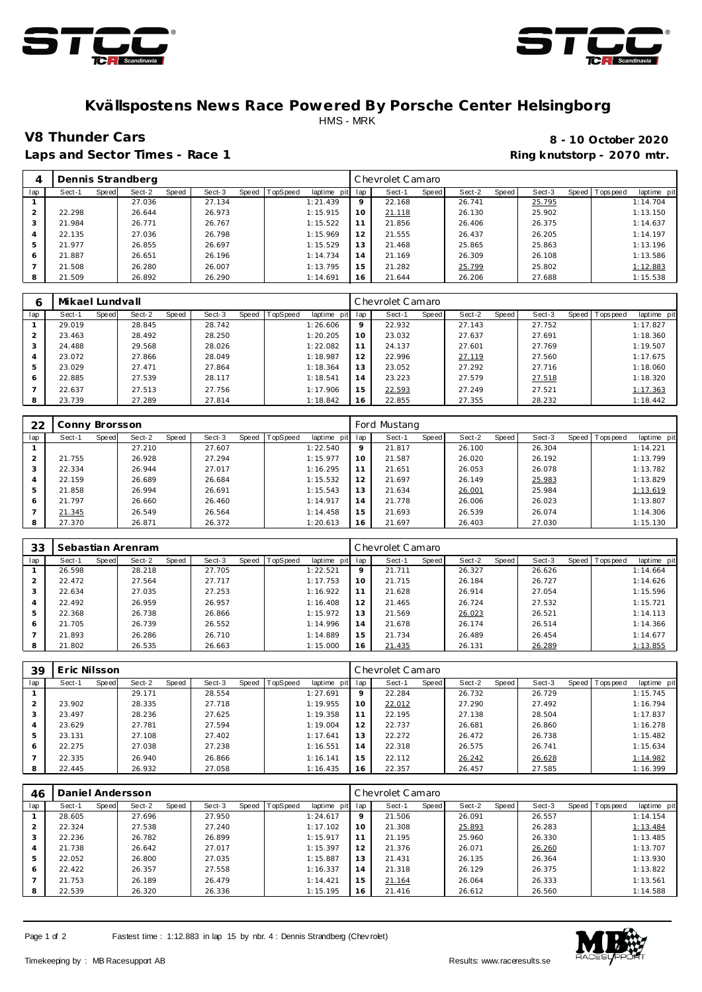



## **Kvällspostens News Race Powered By Porsche Center Helsingborg** HMS - MRK

Laps and Sector Times - Race 1 **Ring and Sector Times - Ring knutstorp** - 2070 mtr.

**V8 Thunder Cars 8 - 10 October 2020**

| 4   |        |       | Dennis Strandberg |       |        |                |             |         | Chevrolet Camaro |       |        |       |        |                   |             |
|-----|--------|-------|-------------------|-------|--------|----------------|-------------|---------|------------------|-------|--------|-------|--------|-------------------|-------------|
| lap | Sect-1 | Speed | Sect-2            | Speed | Sect-3 | Speed TopSpeed | laptime pit | lap     | Sect-1           | Speed | Sect-2 | Speed | Sect-3 | Speed   Tops peed | laptime pit |
|     |        |       | 27.036            |       | 27.134 |                | 1:21.439    | $\circ$ | 22.168           |       | 26.741 |       | 25.795 |                   | 1:14.704    |
|     | 22.298 |       | 26.644            |       | 26.973 |                | 1:15.915    | 10      | 21.118           |       | 26.130 |       | 25.902 |                   | 1:13.150    |
|     | 21.984 |       | 26.771            |       | 26.767 |                | 1:15.522    | 11      | 21.856           |       | 26.406 |       | 26.375 |                   | 1:14.637    |
| 4   | 22.135 |       | 27.036            |       | 26.798 |                | 1:15.969    | 12      | 21.555           |       | 26.437 |       | 26.205 |                   | 1:14.197    |
| 5   | 21.977 |       | 26.855            |       | 26.697 |                | 1:15.529    | 13      | 21.468           |       | 25.865 |       | 25.863 |                   | 1:13.196    |
| 6   | 21.887 |       | 26.651            |       | 26.196 |                | 1:14.734    | 14      | 21.169           |       | 26.309 |       | 26.108 |                   | 1:13.586    |
|     | 21.508 |       | 26.280            |       | 26.007 |                | 1:13.795    | 15      | 21.282           |       | 25.799 |       | 25.802 |                   | 1:12.883    |
| 8   | 21.509 |       | 26.892            |       | 26.290 |                | 1:14.691    | 16      | 21.644           |       | 26.206 |       | 27.688 |                   | 1:15.538    |

| 6   | Mikael Lundvall |       |        |       |        |       |                 |                |     | Chevrolet Camaro |       |        |       |        |                |             |
|-----|-----------------|-------|--------|-------|--------|-------|-----------------|----------------|-----|------------------|-------|--------|-------|--------|----------------|-------------|
| lap | Sect-1          | Speed | Sect-2 | Speed | Sect-3 | Speed | <b>TopSpeed</b> | laptime<br>pit | lap | Sect-1           | Speed | Sect-2 | Speed | Sect-3 | Speed Topspeed | laptime pit |
|     | 29.019          |       | 28.845 |       | 28.742 |       |                 | 1:26.606       | Q   | 22.932           |       | 27.143 |       | 27.752 |                | 1:17.827    |
|     | 23.463          |       | 28.492 |       | 28.250 |       |                 | 1:20.205       | 10  | 23.032           |       | 27.637 |       | 27.691 |                | 1:18.360    |
|     | 24.488          |       | 29.568 |       | 28.026 |       |                 | 1:22.082       | 11  | 24.137           |       | 27.601 |       | 27.769 |                | 1:19.507    |
|     | 23.072          |       | 27.866 |       | 28.049 |       |                 | 1:18.987       | 12  | 22.996           |       | 27.119 |       | 27.560 |                | 1:17.675    |
|     | 23.029          |       | 27.471 |       | 27.864 |       |                 | 1:18.364       | 13  | 23.052           |       | 27.292 |       | 27.716 |                | 1:18.060    |
| 6   | 22.885          |       | 27.539 |       | 28.117 |       |                 | 1:18.541       | 14  | 23.223           |       | 27.579 |       | 27.518 |                | 1:18.320    |
|     | 22.637          |       | 27.513 |       | 27.756 |       |                 | 1:17.906       | 15  | 22.593           |       | 27.249 |       | 27.521 |                | 1:17.363    |
|     | 23.739          |       | 27.289 |       | 27.814 |       |                 | 1:18.842       | 16  | 22.855           |       | 27.355 |       | 28.232 |                | 1:18.442    |

| 22  | Conny Brorsson |       |        |       |        |                  |             |     | Ford Mustang |       |        |       |        |       |           |             |
|-----|----------------|-------|--------|-------|--------|------------------|-------------|-----|--------------|-------|--------|-------|--------|-------|-----------|-------------|
| lap | Sect-1         | Speed | Sect-2 | Speed | Sect-3 | Speed   TopSpeed | laptime pit | lap | Sect-1       | Speed | Sect-2 | Speed | Sect-3 | Speed | Tops peed | laptime pit |
|     |                |       | 27.210 |       | 27.607 |                  | 1:22.540    | 9   | 21.817       |       | 26.100 |       | 26.304 |       |           | 1:14.221    |
|     | 21.755         |       | 26.928 |       | 27.294 |                  | 1:15.977    | 10  | 21.587       |       | 26.020 |       | 26.192 |       |           | 1:13.799    |
| 3   | 22.334         |       | 26.944 |       | 27.017 |                  | 1:16.295    | 11  | 21.651       |       | 26.053 |       | 26.078 |       |           | 1:13.782    |
| 4   | 22.159         |       | 26.689 |       | 26.684 |                  | 1:15.532    | 12  | 21.697       |       | 26.149 |       | 25.983 |       |           | 1:13.829    |
| 5   | 21.858         |       | 26.994 |       | 26.691 |                  | 1:15.543    | 13  | 21.634       |       | 26.001 |       | 25.984 |       |           | 1:13.619    |
| 6   | 21.797         |       | 26.660 |       | 26.460 |                  | 1:14.917    | 14  | 21.778       |       | 26.006 |       | 26.023 |       |           | 1:13.807    |
|     | 21.345         |       | 26.549 |       | 26.564 |                  | 1:14.458    | 15  | 21.693       |       | 26.539 |       | 26.074 |       |           | 1:14.306    |
| 8   | 27.370         |       | 26.871 |       | 26.372 |                  | 1:20.613    | 16  | 21.697       |       | 26.403 |       | 27.030 |       |           | 1:15.130    |

| 33  |        |       | Sebastian Arenram |       |        |                  |             |         | Chevrolet Camaro |       |        |       |        |       |            |             |
|-----|--------|-------|-------------------|-------|--------|------------------|-------------|---------|------------------|-------|--------|-------|--------|-------|------------|-------------|
| lap | Sect-1 | Speed | Sect-2            | Speed | Sect-3 | Speed   TopSpeed | laptime pit | lap     | Sect-1           | Speed | Sect-2 | Speed | Sect-3 | Speed | T ops peed | laptime pit |
|     | 26.598 |       | 28.218            |       | 27.705 |                  | 1:22.521    | $\circ$ | 21.711           |       | 26.327 |       | 26.626 |       |            | 1:14.664    |
|     | 22.472 |       | 27.564            |       | 27.717 |                  | 1:17.753    | 10      | 21.715           |       | 26.184 |       | 26.727 |       |            | 1:14.626    |
|     | 22.634 |       | 27.035            |       | 27.253 |                  | 1:16.922    | 11      | 21.628           |       | 26.914 |       | 27.054 |       |            | 1:15.596    |
| 4   | 22.492 |       | 26.959            |       | 26.957 |                  | 1:16.408    | 12      | 21.465           |       | 26.724 |       | 27.532 |       |            | 1:15.721    |
| 5   | 22.368 |       | 26.738            |       | 26.866 |                  | 1:15.972    | 13      | 21.569           |       | 26.023 |       | 26.521 |       |            | 1:14.113    |
| 6   | 21.705 |       | 26.739            |       | 26.552 |                  | 1:14.996    | 14      | 21.678           |       | 26.174 |       | 26.514 |       |            | 1:14.366    |
|     | 21.893 |       | 26.286            |       | 26.710 |                  | 1:14.889    | 15      | 21.734           |       | 26.489 |       | 26.454 |       |            | 1:14.677    |
| 8   | 21.802 |       | 26.535            |       | 26.663 |                  | 1:15.000    | 16      | 21.435           |       | 26.131 |       | 26.289 |       |            | 1:13.855    |

| 39  | Eric Nilsson |       |        |       |        |       |          |             |                | Chevrolet Camaro |       |        |       |        |                   |             |
|-----|--------------|-------|--------|-------|--------|-------|----------|-------------|----------------|------------------|-------|--------|-------|--------|-------------------|-------------|
| lap | Sect-1       | Speed | Sect-2 | Speed | Sect-3 | Speed | TopSpeed | laptime pit | lap            | Sect-1           | Speed | Sect-2 | Speed | Sect-3 | Speed   Tops peed | laptime pit |
|     |              |       | 29.171 |       | 28.554 |       |          | 1:27.691    | 9              | 22.284           |       | 26.732 |       | 26.729 |                   | 1:15.745    |
|     | 23.902       |       | 28.335 |       | 27.718 |       |          | 1:19.955    | 10             | 22.012           |       | 27.290 |       | 27.492 |                   | 1:16.794    |
|     | 23.497       |       | 28.236 |       | 27.625 |       |          | 1:19.358    |                | 22.195           |       | 27.138 |       | 28.504 |                   | 1:17.837    |
| 4   | 23.629       |       | 27.781 |       | 27.594 |       |          | 1:19.004    | 12             | 22.737           |       | 26.681 |       | 26.860 |                   | 1:16.278    |
| 5   | 23.131       |       | 27.108 |       | 27.402 |       |          | 1:17.641    | 3              | 22.272           |       | 26.472 |       | 26.738 |                   | 1:15.482    |
| 6   | 22.275       |       | 27.038 |       | 27.238 |       |          | 1:16.551    | $\overline{4}$ | 22.318           |       | 26.575 |       | 26.741 |                   | 1:15.634    |
|     | 22.335       |       | 26.940 |       | 26.866 |       |          | 1:16.141    | -5             | 22.112           |       | 26.242 |       | 26.628 |                   | 1:14.982    |
| 8   | 22.445       |       | 26.932 |       | 27.058 |       |          | 1:16.435    | 6              | 22.357           |       | 26.457 |       | 27.585 |                   | 1:16.399    |

| 46  |        |       | Daniel Andersson |       |        |       |          |             |     | Chevrolet Camaro |       |        |       |        |       |           |             |
|-----|--------|-------|------------------|-------|--------|-------|----------|-------------|-----|------------------|-------|--------|-------|--------|-------|-----------|-------------|
| lap | Sect-1 | Speed | Sect-2           | Speed | Sect-3 | Speed | TopSpeed | laptime pit | lap | Sect-1           | Speed | Sect-2 | Speed | Sect-3 | Speed | Tops peed | laptime pit |
|     | 28.605 |       | 27.696           |       | 27.950 |       |          | 1:24.617    | 9   | 21.506           |       | 26.091 |       | 26.557 |       |           | 1:14.154    |
|     | 22.324 |       | 27.538           |       | 27.240 |       |          | 1:17.102    | 10  | 21.308           |       | 25.893 |       | 26.283 |       |           | 1:13.484    |
|     | 22.236 |       | 26.782           |       | 26.899 |       |          | 1:15.917    | 11  | 21.195           |       | 25.960 |       | 26.330 |       |           | 1:13.485    |
| 4   | 21.738 |       | 26.642           |       | 27.017 |       |          | 1:15.397    | 12  | 21.376           |       | 26.071 |       | 26.260 |       |           | 1:13.707    |
| 5   | 22.052 |       | 26.800           |       | 27.035 |       |          | 1:15.887    | 13  | 21.431           |       | 26.135 |       | 26.364 |       |           | 1:13.930    |
| 6   | 22.422 |       | 26.357           |       | 27.558 |       |          | 1:16.337    | 14  | 21.318           |       | 26.129 |       | 26.375 |       |           | 1:13.822    |
|     | 21.753 |       | 26.189           |       | 26.479 |       |          | 1:14.421    | 15  | 21.164           |       | 26.064 |       | 26.333 |       |           | 1:13.561    |
| 8   | 22.539 |       | 26.320           |       | 26.336 |       |          | 1:15.195    | 16  | 21.416           |       | 26.612 |       | 26.560 |       |           | 1:14.588    |